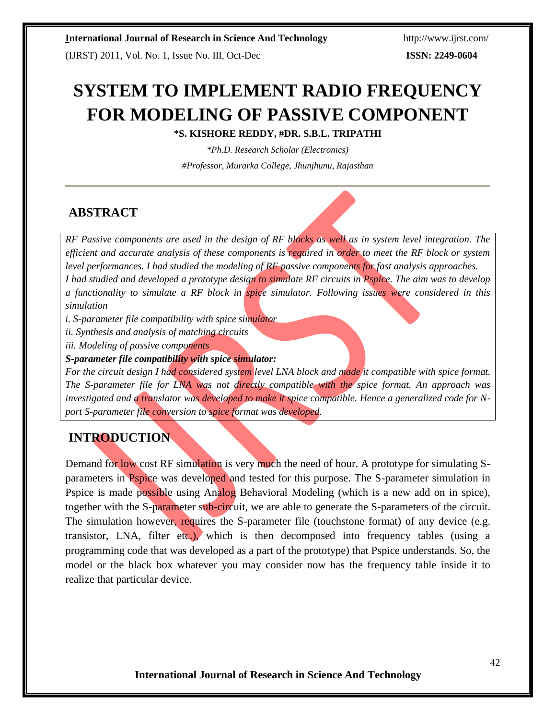(IJRST) 2011, Vol. No. 1, Issue No. III, Oct-Dec **ISSN: 2249-0604**

# **SYSTEM TO IMPLEMENT RADIO FREQUENCY FOR MODELING OF PASSIVE COMPONENT**

**\*S. KISHORE REDDY, #DR. S.B.L. TRIPATHI**

*\*Ph.D. Research Scholar (Electronics) #Professor, Murarka College, Jhunjhunu, Rajasthan*

## **ABSTRACT**

*RF Passive components are used in the design of RF blocks as well as in system level integration. The efficient and accurate analysis of these components is required in order to meet the RF block or system level performances. I had studied the modeling of RF passive components for fast analysis approaches. I had studied and developed a prototype design to simulate RF circuits in Pspice. The aim was to develop a functionality to simulate a RF block in spice simulator. Following issues were considered in this simulation*

*i. S-parameter file compatibility with spice simulator*

*ii. Synthesis and analysis of matching circuits*

*iii. Modeling of passive components*

*S-parameter file compatibility with spice simulator:*

*For the circuit design I had considered system level LNA block and made it compatible with spice format. The S-parameter file for LNA was not directly compatible with the spice format. An approach was investigated and a translator was developed to make it spice compatible. Hence a generalized code for Nport S-parameter file conversion to spice format was developed.*

# **INTRODUCTION**

Demand for low cost RF simulation is very much the need of hour. A prototype for simulating Sparameters in Pspice was developed and tested for this purpose. The S-parameter simulation in Pspice is made possible using Analog Behavioral Modeling (which is a new add on in spice), together with the S-parameter sub-circuit, we are able to generate the S-parameters of the circuit. The simulation however, requires the S-parameter file (touchstone format) of any device (e.g. transistor, LNA, filter etc.), which is then decomposed into frequency tables (using a programming code that was developed as a part of the prototype) that Pspice understands. So, the model or the black box whatever you may consider now has the frequency table inside it to realize that particular device.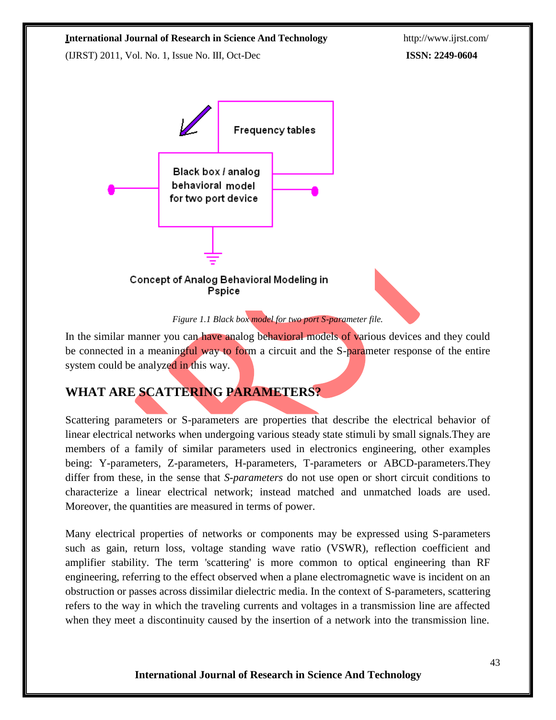(IJRST) 2011, Vol. No. 1, Issue No. III, Oct-Dec **ISSN: 2249-0604**





In the similar manner you can have analog behavioral models of various devices and they could be connected in a meaningful way to form a circuit and the S-parameter response of the entire system could be analyzed in this way.

# **WHAT ARE SCATTERING PARAMETERS?**

Scattering parameters or S-parameters are properties that describe the electrical behavior of linear electrical networks when undergoing various steady state stimuli by small signals.They are members of a family of similar parameters used in electronics engineering, other examples being: Y-parameters, Z-parameters, H-parameters, T-parameters or ABCD-parameters.They differ from these, in the sense that *S-parameters* do not use open or short circuit conditions to characterize a linear electrical network; instead matched and unmatched loads are used. Moreover, the quantities are measured in terms of power.

Many electrical properties of networks or components may be expressed using S-parameters such as gain, return loss, voltage standing wave ratio (VSWR), reflection coefficient and amplifier stability. The term 'scattering' is more common to optical engineering than RF engineering, referring to the effect observed when a plane electromagnetic wave is incident on an obstruction or passes across dissimilar dielectric media. In the context of S-parameters, scattering refers to the way in which the traveling currents and voltages in a transmission line are affected when they meet a discontinuity caused by the insertion of a network into the transmission line.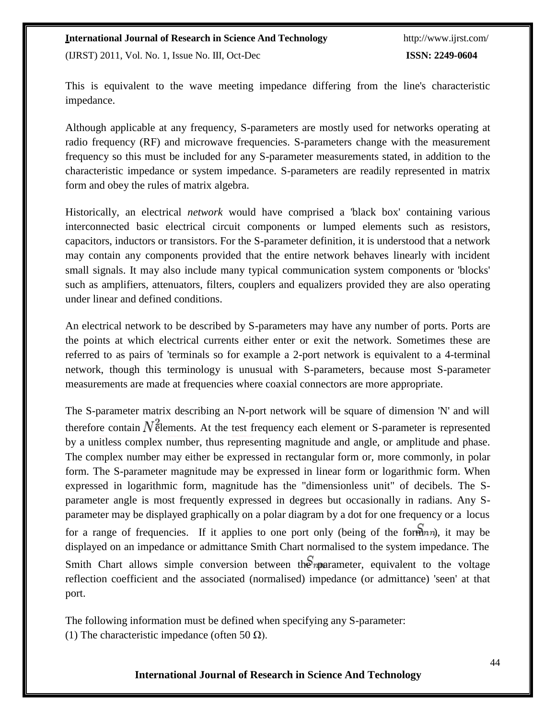(IJRST) 2011, Vol. No. 1, Issue No. III, Oct-Dec **ISSN: 2249-0604**

This is equivalent to the wave meeting impedance differing from the line's characteristic impedance.

Although applicable at any frequency, S-parameters are mostly used for networks operating at radio frequency (RF) and microwave frequencies. S-parameters change with the measurement frequency so this must be included for any S-parameter measurements stated, in addition to the characteristic impedance or system impedance. S-parameters are readily represented in matrix form and obey the rules of matrix algebra.

Historically, an electrical *network* would have comprised a 'black box' containing various interconnected basic electrical circuit components or lumped elements such as resistors, capacitors, inductors or transistors. For the S-parameter definition, it is understood that a network may contain any components provided that the entire network behaves linearly with incident small signals. It may also include many typical communication system components or 'blocks' such as amplifiers, attenuators, filters, couplers and equalizers provided they are also operating under linear and defined conditions.

An electrical network to be described by S-parameters may have any number of ports. Ports are the points at which electrical currents either enter or exit the network. Sometimes these are referred to as pairs of 'terminals so for example a 2-port network is equivalent to a 4-terminal network, though this terminology is unusual with S-parameters, because most S-parameter measurements are made at frequencies where coaxial connectors are more appropriate.

The S-parameter matrix describing an N-port network will be square of dimension 'N' and will therefore contain  $N^2$  elements. At the test frequency each element or S-parameter is represented by a unitless complex number, thus representing magnitude and angle, or amplitude and phase. The complex number may either be expressed in rectangular form or, more commonly, in polar form. The S-parameter magnitude may be expressed in linear form or logarithmic form. When expressed in logarithmic form, magnitude has the "dimensionless unit" of decibels. The Sparameter angle is most frequently expressed in degrees but occasionally in radians. Any Sparameter may be displayed graphically on a polar diagram by a dot for one frequency or a locus for a range of frequencies. If it applies to one port only (being of the form  $n$ ), it may be displayed on an impedance or admittance Smith Chart normalised to the system impedance. The Smith Chart allows simple conversion between the *n* parameter, equivalent to the voltage reflection coefficient and the associated (normalised) impedance (or admittance) 'seen' at that port.

The following information must be defined when specifying any S-parameter: (1) The characteristic impedance (often 50  $\Omega$ ).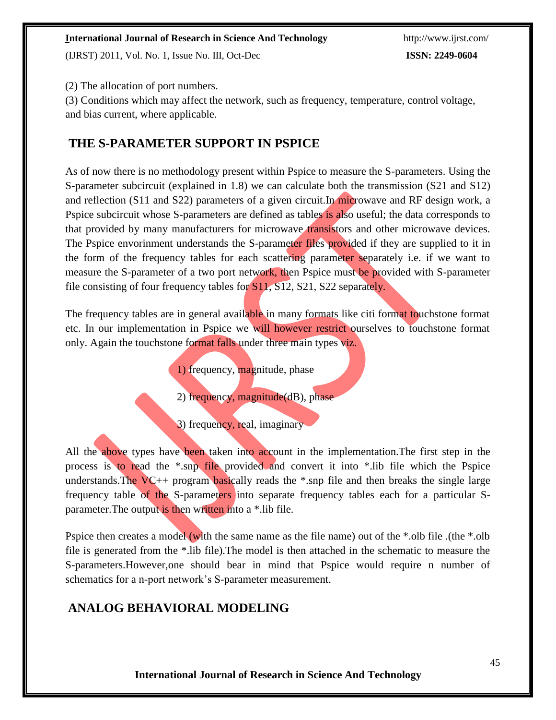(IJRST) 2011, Vol. No. 1, Issue No. III, Oct-Dec **ISSN: 2249-0604**

(2) The allocation of port numbers.

(3) Conditions which may affect the network, such as frequency, temperature, control voltage, and bias current, where applicable.

## **THE S-PARAMETER SUPPORT IN PSPICE**

As of now there is no methodology present within Pspice to measure the S-parameters. Using the S-parameter subcircuit (explained in 1.8) we can calculate both the transmission (S21 and S12) and reflection (S11 and S22) parameters of a given circuit.In microwave and RF design work, a Pspice subcircuit whose S-parameters are defined as tables is also useful; the data corresponds to that provided by many manufacturers for microwave transistors and other microwave devices. The Pspice envorinment understands the S-parameter files provided if they are supplied to it in the form of the frequency tables for each scattering parameter separately i.e. if we want to measure the S-parameter of a two port network, then Pspice must be provided with S-parameter file consisting of four frequency tables for S11, S12, S21, S22 separately.

The frequency tables are in general available in many formats like citi format touchstone format etc. In our implementation in Pspice we will however restrict ourselves to touchstone format only. Again the touchstone format falls under three main types viz.

1) frequency, magnitude, phase

2) frequency, magnitude(dB), phase

3) frequency, real, imaginary

All the above types have been taken into account in the implementation. The first step in the process is to read the \*.snp file provided and convert it into \*.lib file which the Pspice understands. The  $VC++$  program basically reads the \*.snp file and then breaks the single large frequency table of the S-parameters into separate frequency tables each for a particular Sparameter. The output is then written into a \*.lib file.

Pspice then creates a model (with the same name as the file name) out of the \*.olb file .(the \*.olb file is generated from the \*.lib file).The model is then attached in the schematic to measure the S-parameters.However,one should bear in mind that Pspice would require n number of schematics for a n-port network's S-parameter measurement.

## **ANALOG BEHAVIORAL MODELING**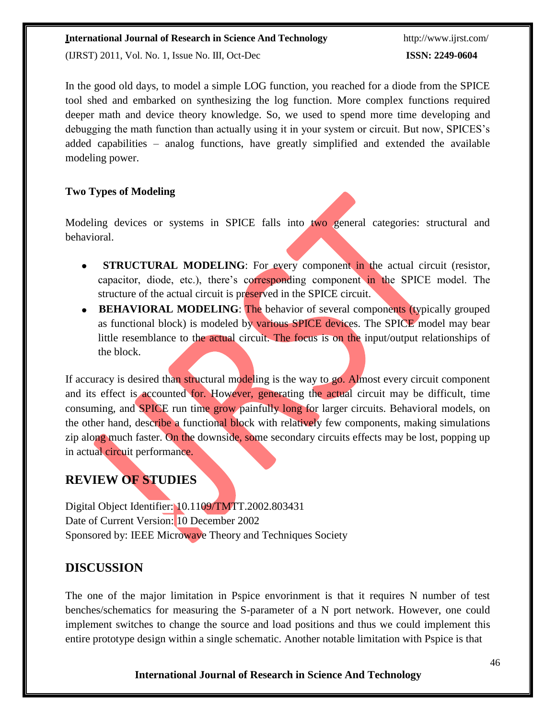(IJRST) 2011, Vol. No. 1, Issue No. III, Oct-Dec **ISSN: 2249-0604**

In the good old days, to model a simple LOG function, you reached for a diode from the SPICE tool shed and embarked on synthesizing the log function. More complex functions required deeper math and device theory knowledge. So, we used to spend more time developing and debugging the math function than actually using it in your system or circuit. But now, SPICES's added capabilities – analog functions, have greatly simplified and extended the available modeling power.

#### **Two Types of Modeling**

Modeling devices or systems in SPICE falls into two general categories: structural and behavioral.

- **STRUCTURAL MODELING**: For every component in the actual circuit (resistor, capacitor, diode, etc.), there's corresponding component in the SPICE model. The structure of the actual circuit is preserved in the SPICE circuit.
- **BEHAVIORAL MODELING:** The behavior of several components (typically grouped as functional block) is modeled by various SPICE devices. The SPICE model may bear little resemblance to the actual circuit. The focus is on the input/output relationships of the block.

If accuracy is desired than structural modeling is the way to go. Almost every circuit component and its effect is accounted for. However, generating the actual circuit may be difficult, time consuming, and SPICE run time grow painfully long for larger circuits. Behavioral models, on the other hand, describe a functional block with relatively few components, making simulations zip along much faster. On the downside, some secondary circuits effects may be lost, popping up in actual circuit performance.

# **REVIEW OF STUDIES**

Digital Object Identifier: [10.1109/TMTT.2002.803431](http://dx.doi.org/10.1109/TMTT.2002.803431) Date of Current Version: 10 December 2002 Sponsored by: [IEEE Microwave Theory and Techniques Society](http://www.mtt.org/)

## **DISCUSSION**

The one of the major limitation in Pspice envorinment is that it requires N number of test benches/schematics for measuring the S-parameter of a N port network. However, one could implement switches to change the source and load positions and thus we could implement this entire prototype design within a single schematic. Another notable limitation with Pspice is that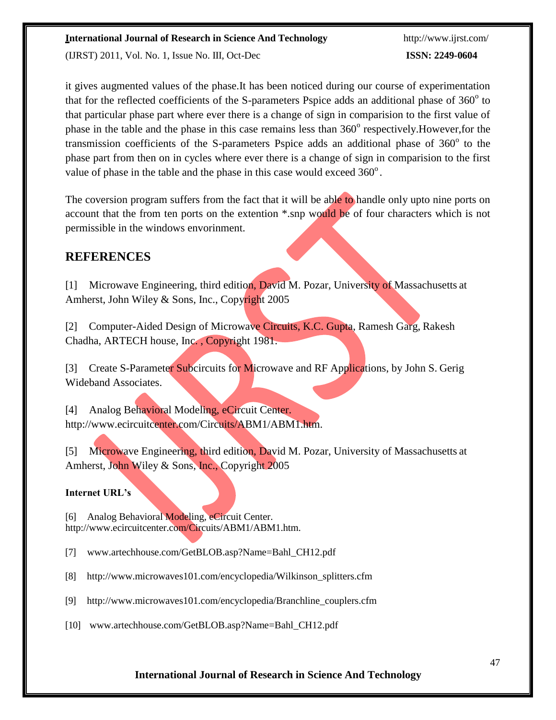(IJRST) 2011, Vol. No. 1, Issue No. III, Oct-Dec **ISSN: 2249-0604**

it gives augmented values of the phase.It has been noticed during our course of experimentation that for the reflected coefficients of the S-parameters Pspice adds an additional phase of  $360^{\circ}$  to that particular phase part where ever there is a change of sign in comparision to the first value of phase in the table and the phase in this case remains less than 360° respectively. However, for the transmission coefficients of the S-parameters Pspice adds an additional phase of  $360^{\circ}$  to the phase part from then on in cycles where ever there is a change of sign in comparision to the first value of phase in the table and the phase in this case would exceed  $360^{\circ}$ .

The coversion program suffers from the fact that it will be able to handle only upto nine ports on account that the from ten ports on the extention \*.snp would be of four characters which is not permissible in the windows envorinment.

### **REFERENCES**

[1] Microwave Engineering, third edition, David M. Pozar, University of Massachusetts at Amherst, John Wiley & Sons, Inc., Copyright 2005

[2] Computer-Aided Design of Microwave Circuits, K.C. Gupta, Ramesh Garg, Rakesh Chadha, ARTECH house, Inc. , Copyright 1981.

[3] Create S-Parameter Subcircuits for Microwave and RF Applications, by John S. Gerig Wideband Associates.

[4] Analog Behavioral Modeling, eCircuit Center. [http://www.ecircuitcenter.com/Circuits/ABM1/ABM1.htm.](http://www.ecircuitcenter.com/Circuits/ABM1/ABM1.htm)

[5] Microwave Engineering, third edition, David M. Pozar, University of Massachusetts at Amherst, John Wiley & Sons, Inc., Copyright 2005

#### **Internet URL's**

[6] Analog Behavioral Modeling, eCircuit Center. [http://www.ecircuitcenter.com/Circuits/ABM1/ABM1.htm.](http://www.ecircuitcenter.com/Circuits/ABM1/ABM1.htm)

[7] [www.artechhouse.com/GetBLOB.asp?Name=Bahl\\_CH12.pdf](http://www.artechhouse.com/GetBLOB.asp?Name=Bahl_CH12.pdf)

- [8] [http://www.microwaves101.com/encyclopedia/Wilkinson\\_splitters.cfm](http://www.microwaves101.com/encyclopedia/Wilkinson_splitters.cfm)
- [9] [http://www.microwaves101.com/encyclopedia/Branchline\\_couplers.cfm](http://www.microwaves101.com/encyclopedia/Branchline_couplers.cfm)
- [10] [www.artechhouse.com/GetBLOB.asp?Name=Bahl\\_CH12.pdf](http://www.artechhouse.com/GetBLOB.asp?Name=Bahl_CH12.pdf)